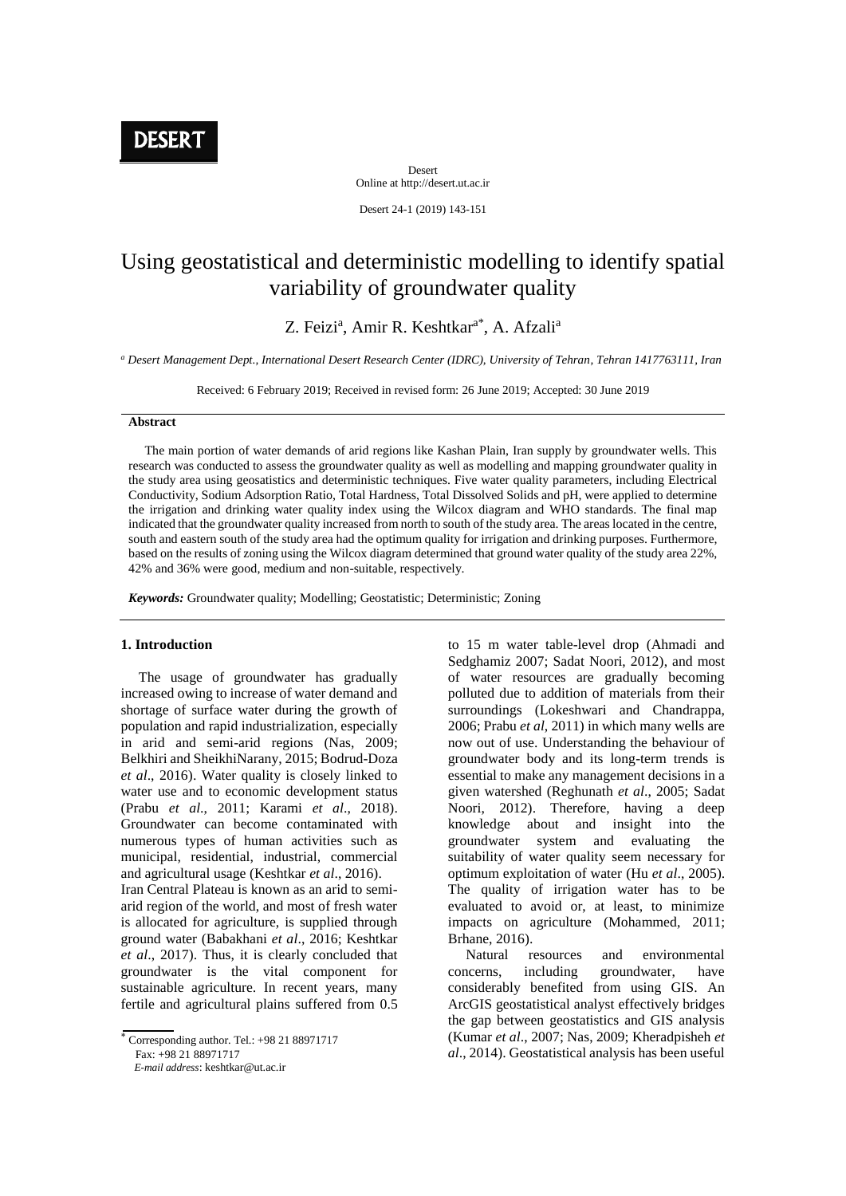**DESERT** 

Desert Online at http://desert.ut.ac.ir

Desert 24-1 (2019) 143-151

# Using geostatistical and deterministic modelling to identify spatial variability of groundwater quality

Z. Feizi<sup>a</sup>, Amir R. Keshtkar<sup>a\*</sup>, A. Afzali<sup>a</sup>

*<sup>a</sup> Desert Management Dept., International Desert Research Center (IDRC), University of Tehran, Tehran 1417763111, Iran*

Received: 6 February 2019; Received in revised form: 26 June 2019; Accepted: 30 June 2019

### **Abstract**

 The main portion of water demands of arid regions like Kashan Plain, Iran supply by groundwater wells. This research was conducted to assess the groundwater quality as well as modelling and mapping groundwater quality in the study area using geosatistics and deterministic techniques. Five water quality parameters, including Electrical Conductivity, Sodium Adsorption Ratio, Total Hardness, Total Dissolved Solids and pH, were applied to determine the irrigation and drinking water quality index using the Wilcox diagram and WHO standards. The final map indicated that the groundwater quality increased from north to south of the study area. The areas located in the centre, south and eastern south of the study area had the optimum quality for irrigation and drinking purposes. Furthermore, based on the results of zoning using the Wilcox diagram determined that ground water quality of the study area 22%, 42% and 36% were good, medium and non-suitable, respectively.

*Keywords:* Groundwater quality; Modelling; Geostatistic; Deterministic; Zoning

### **1. Introduction**

 The usage of groundwater has gradually increased owing to increase of water demand and shortage of surface water during the growth of population and rapid industrialization, especially in arid and semi-arid regions (Nas, 2009; Belkhiri and SheikhiNarany, 2015; Bodrud-Doza *et al*., 2016). Water quality is closely linked to water use and to economic development status (Prabu *et al*., 2011; Karami *et al*., 2018). Groundwater can become contaminated with numerous types of human activities such as municipal, residential, industrial, commercial and agricultural usage (Keshtkar *et al*., 2016).

Iran Central Plateau is known as an arid to semiarid region of the world, and most of fresh water is allocated for agriculture, is supplied through ground water (Babakhani *et al*., 2016; Keshtkar *et al*., 2017). Thus, it is clearly concluded that groundwater is the vital component for sustainable agriculture. In recent years, many fertile and agricultural plains suffered from 0.5

 *E-mail address*: keshtkar@ut.ac.ir

to 15 m water table-level drop (Ahmadi and Sedghamiz 2007; Sadat Noori, 2012), and most of water resources are gradually becoming polluted due to addition of materials from their surroundings (Lokeshwari and Chandrappa, 2006; Prabu *et al*, 2011) in which many wells are now out of use. Understanding the behaviour of groundwater body and its long-term trends is essential to make any management decisions in a given watershed (Reghunath *et al*., 2005; Sadat Noori, 2012). Therefore, having a deep knowledge about and insight into the groundwater system and evaluating the suitability of water quality seem necessary for optimum exploitation of water (Hu *et al*., 2005). The quality of irrigation water has to be evaluated to avoid or, at least, to minimize impacts on agriculture (Mohammed, 2011; Brhane, 2016).

 Natural resources and environmental concerns, including groundwater, have considerably benefited from using GIS. An ArcGIS geostatistical analyst effectively bridges the gap between geostatistics and GIS analysis (Kumar *et al*., 2007; Nas, 2009; Kheradpisheh *et al*., 2014). Geostatistical analysis has been useful

Corresponding author. Tel.: +98 21 88971717 Fax: +98 21 88971717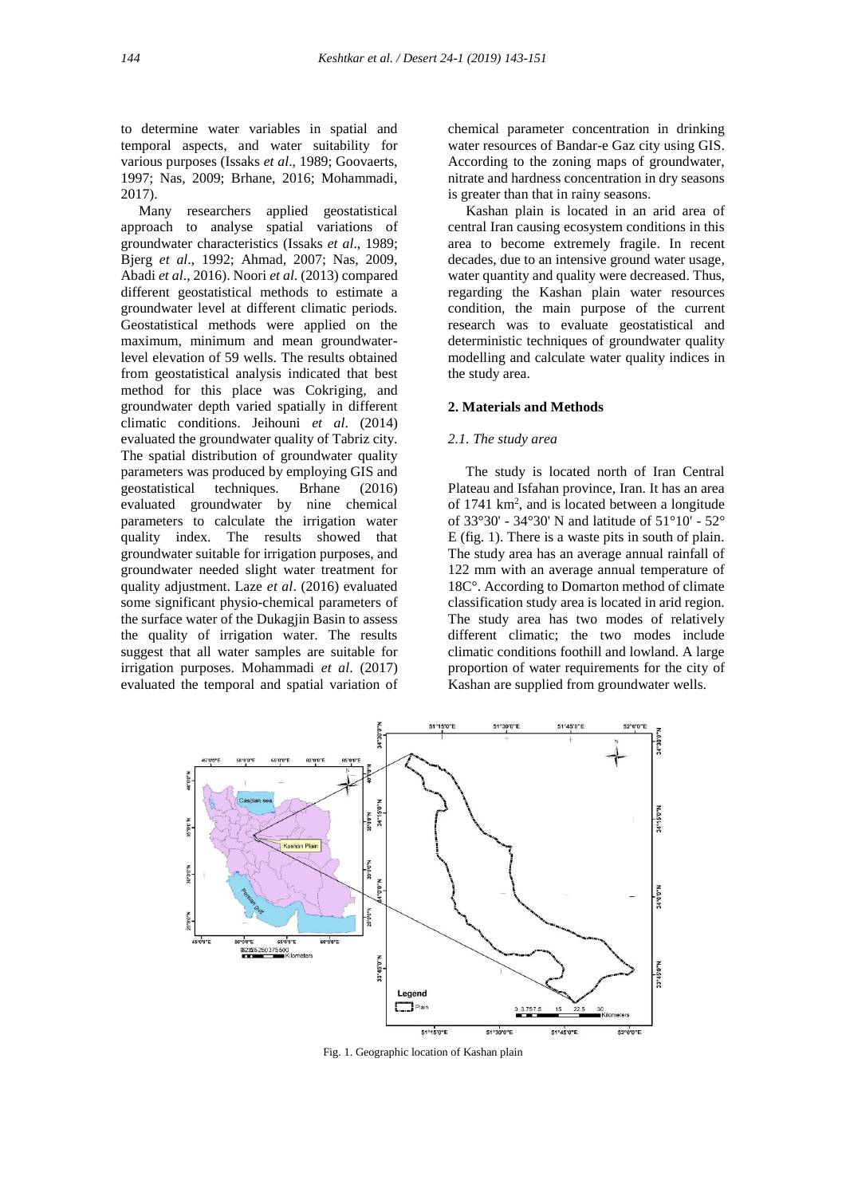to determine water variables in spatial and temporal aspects, and water suitability for various purposes (Issaks *et al*., 1989; Goovaerts, 1997; Nas, 2009; Brhane, 2016; Mohammadi, 2017).

 Many researchers applied geostatistical approach to analyse spatial variations of groundwater characteristics (Issaks *et al*., 1989; Bjerg *et al*., 1992; Ahmad, 2007; Nas, 2009, Abadi *et al*., 2016). Noori *et al*. (2013) compared different geostatistical methods to estimate a groundwater level at different climatic periods. Geostatistical methods were applied on the maximum, minimum and mean groundwaterlevel elevation of 59 wells. The results obtained from geostatistical analysis indicated that best method for this place was Cokriging, and groundwater depth varied spatially in different climatic conditions. Jeihouni *et al*. (2014) evaluated the groundwater quality of Tabriz city. The spatial distribution of groundwater quality parameters was produced by employing GIS and geostatistical techniques. Brhane (2016) evaluated groundwater by nine chemical parameters to calculate the irrigation water quality index. The results showed that groundwater suitable for irrigation purposes, and groundwater needed slight water treatment for quality adjustment. Laze *et al*. (2016) evaluated some significant physio-chemical parameters of the surface water of the Dukagjin Basin to assess the quality of irrigation water. The results suggest that all water samples are suitable for irrigation purposes. Mohammadi *et al*. (2017) evaluated the temporal and spatial variation of

chemical parameter concentration in drinking water resources of Bandar-e Gaz city using GIS. According to the zoning maps of groundwater, nitrate and hardness concentration in dry seasons is greater than that in rainy seasons.

 Kashan plain is located in an arid area of central Iran causing ecosystem conditions in this area to become extremely fragile. In recent decades, due to an intensive ground water usage, water quantity and quality were decreased. Thus, regarding the Kashan plain water resources condition, the main purpose of the current research was to evaluate geostatistical and deterministic techniques of groundwater quality modelling and calculate water quality indices in the study area.

### **2. Materials and Methods**

#### *2.1. The study area*

 The study is located north of Iran Central Plateau and Isfahan province, Iran. It has an area of  $1741 \text{ km}^2$ , and is located between a longitude of 33°30' - 34°30' N and latitude of 51°10' - 52° E (fig. 1). There is a waste pits in south of plain. The study area has an average annual rainfall of 122 mm with an average annual temperature of 18C°. According to Domarton method of climate classification study area is located in arid region. The study area has two modes of relatively different climatic; the two modes include climatic conditions foothill and lowland. A large proportion of water requirements for the city of Kashan are supplied from groundwater wells.



Fig. 1. Geographic location of Kashan plain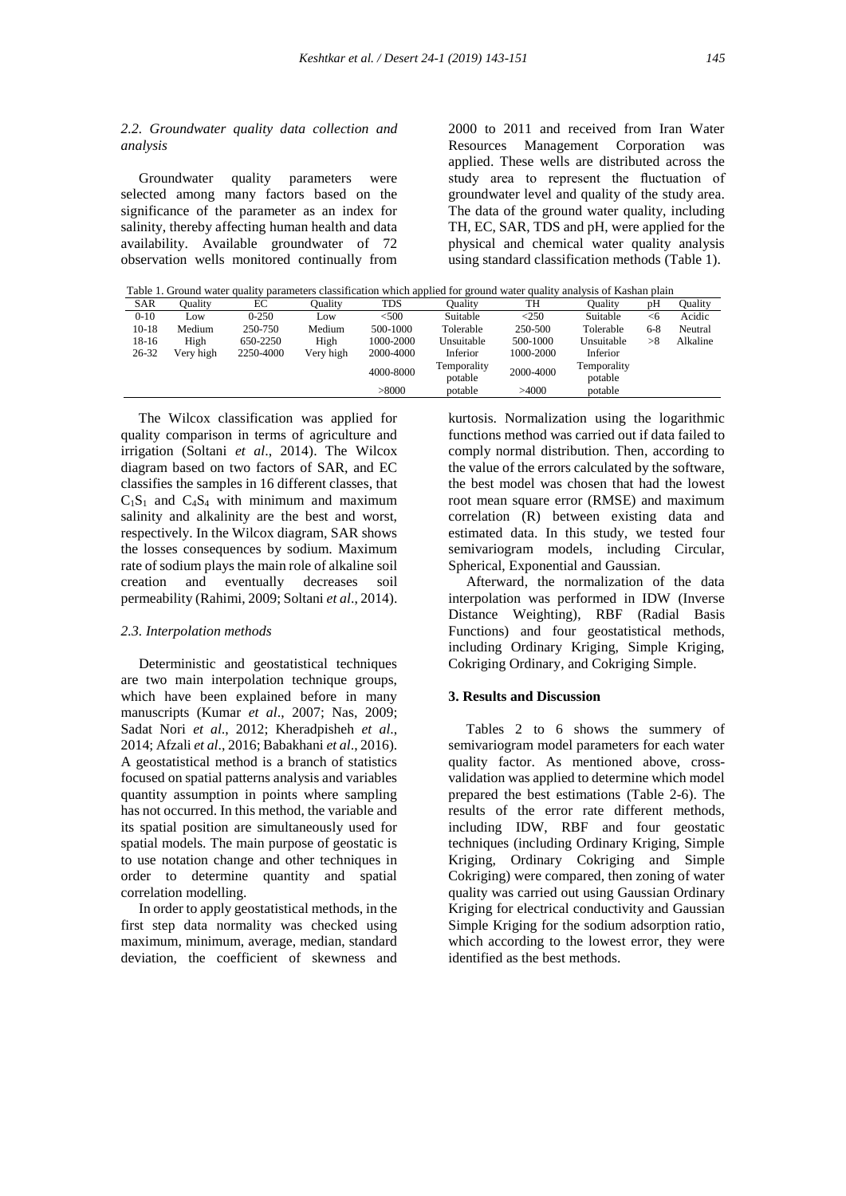## *2.2. Groundwater quality data collection and analysis*

 Groundwater quality parameters were selected among many factors based on the significance of the parameter as an index for salinity, thereby affecting human health and data availability. Available groundwater of 72 observation wells monitored continually from

2000 to 2011 and received from Iran Water Resources Management Corporation was applied. These wells are distributed across the study area to represent the fluctuation of groundwater level and quality of the study area. The data of the ground water quality, including TH, EC, SAR, TDS and pH, were applied for the physical and chemical water quality analysis using standard classification methods (Table 1).

Table 1. Ground water quality parameters classification which applied for ground water quality analysis of Kashan plain

| <b>SAR</b> | Ouality   | EС        | Ouality   | <b>TDS</b> | Oualitv     | TH        | Ouality     | pH      | Ouality  |
|------------|-----------|-----------|-----------|------------|-------------|-----------|-------------|---------|----------|
| $0-10$     | Low       | $0 - 250$ | Low       | < 500      | Suitable    | $<$ 250   | Suitable    | <6      | Acidic   |
| $10-18$    | Medium    | 250-750   | Medium    | 500-1000   | Tolerable   | 250-500   | Tolerable   | $6 - 8$ | Neutral  |
| 18-16      | High      | 650-2250  | High      | 1000-2000  | Unsuitable  | 500-1000  | Unsuitable  | >8      | Alkaline |
| $26 - 32$  | Very high | 2250-4000 | Very high | 2000-4000  | Inferior    | 1000-2000 | Inferior    |         |          |
|            |           |           |           | 4000-8000  | Temporality | 2000-4000 | Temporality |         |          |
|            |           |           |           |            | potable     |           | potable     |         |          |
|            |           |           |           | > 8000     | potable     | >4000     | potable     |         |          |

 The Wilcox classification was applied for quality comparison in terms of agriculture and irrigation (Soltani *et al*., 2014). The Wilcox diagram based on two factors of SAR, and EC classifies the samples in 16 different classes, that  $C_1S_1$  and  $C_4S_4$  with minimum and maximum salinity and alkalinity are the best and worst, respectively. In the Wilcox diagram, SAR shows the losses consequences by sodium. Maximum rate of sodium plays the main role of alkaline soil creation and eventually decreases soil permeability (Rahimi, 2009; Soltani *et al*., 2014).

# *2.3. Interpolation methods*

 Deterministic and geostatistical techniques are two main interpolation technique groups, which have been explained before in many manuscripts (Kumar *et al*., 2007; Nas, 2009; Sadat Nori *et al*., 2012; Kheradpisheh *et al*., 2014; Afzali *et al*., 2016; Babakhani *et al*., 2016). A geostatistical method is a branch of statistics focused on spatial patterns analysis and variables quantity assumption in points where sampling has not occurred. In this method, the variable and its spatial position are simultaneously used for spatial models. The main purpose of geostatic is to use notation change and other techniques in order to determine quantity and spatial correlation modelling.

 In order to apply geostatistical methods, in the first step data normality was checked using maximum, minimum, average, median, standard deviation, the coefficient of skewness and

kurtosis. Normalization using the logarithmic functions method was carried out if data failed to comply normal distribution. Then, according to the value of the errors calculated by the software, the best model was chosen that had the lowest root mean square error (RMSE) and maximum correlation (R) between existing data and estimated data. In this study, we tested four semivariogram models, including Circular, Spherical, Exponential and Gaussian.

 Afterward, the normalization of the data interpolation was performed in IDW (Inverse Distance Weighting), RBF (Radial Basis Functions) and four geostatistical methods, including Ordinary Kriging, Simple Kriging, Cokriging Ordinary, and Cokriging Simple.

#### **3. Results and Discussion**

 Tables 2 to 6 shows the summery of semivariogram model parameters for each water quality factor. As mentioned above, crossvalidation was applied to determine which model prepared the best estimations (Table 2-6). The results of the error rate different methods, including IDW, RBF and four geostatic techniques (including Ordinary Kriging, Simple Kriging, Ordinary Cokriging and Simple Cokriging) were compared, then zoning of water quality was carried out using Gaussian Ordinary Kriging for electrical conductivity and Gaussian Simple Kriging for the sodium adsorption ratio, which according to the lowest error, they were identified as the best methods.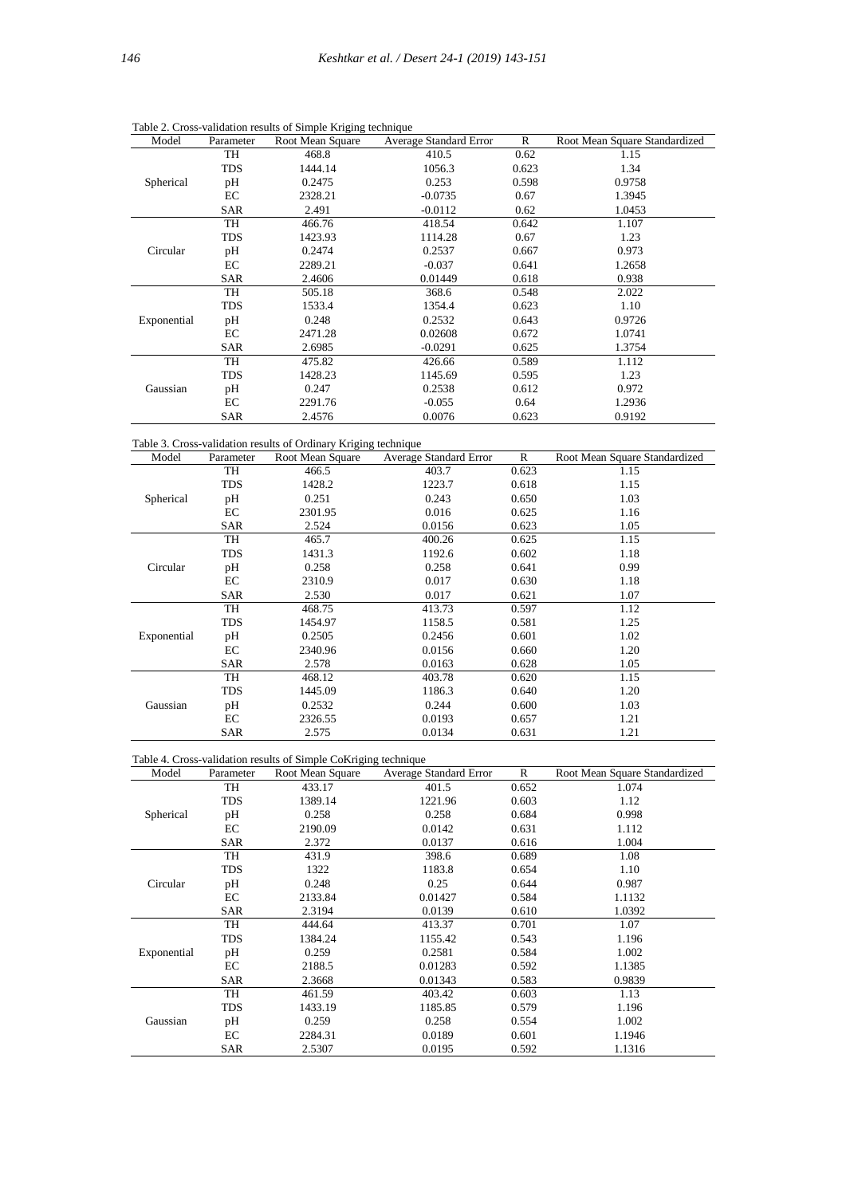| Model       | Parameter  | Root Mean Square | Average Standard Error | R     | Root Mean Square Standardized |
|-------------|------------|------------------|------------------------|-------|-------------------------------|
|             | TH         | 468.8            | 410.5                  | 0.62  | 1.15                          |
|             | <b>TDS</b> | 1444.14          | 1056.3                 | 0.623 | 1.34                          |
| Spherical   | pH         | 0.2475           | 0.253                  | 0.598 | 0.9758                        |
|             | EC         | 2328.21          | $-0.0735$              | 0.67  | 1.3945                        |
|             | <b>SAR</b> | 2.491            | $-0.0112$              | 0.62  | 1.0453                        |
|             | TH         | 466.76           | 418.54                 | 0.642 | 1.107                         |
|             | <b>TDS</b> | 1423.93          | 1114.28                | 0.67  | 1.23                          |
| Circular    | pH         | 0.2474           | 0.2537                 | 0.667 | 0.973                         |
|             | EC         | 2289.21          | $-0.037$               | 0.641 | 1.2658                        |
|             | <b>SAR</b> | 2.4606           | 0.01449                | 0.618 | 0.938                         |
|             | TH         | 505.18           | 368.6                  | 0.548 | 2.022                         |
|             | <b>TDS</b> | 1533.4           | 1354.4                 | 0.623 | 1.10                          |
| Exponential | pH         | 0.248            | 0.2532                 | 0.643 | 0.9726                        |
|             | EC         | 2471.28          | 0.02608                | 0.672 | 1.0741                        |
|             | <b>SAR</b> | 2.6985           | $-0.0291$              | 0.625 | 1.3754                        |
|             | TH         | 475.82           | 426.66                 | 0.589 | 1.112                         |
|             | <b>TDS</b> | 1428.23          | 1145.69                | 0.595 | 1.23                          |
| Gaussian    | pH         | 0.247            | 0.2538                 | 0.612 | 0.972                         |
|             | EC         | 2291.76          | $-0.055$               | 0.64  | 1.2936                        |
|             | <b>SAR</b> | 2.4576           | 0.0076                 | 0.623 | 0.9192                        |

Table 2. Cross-validation results of Simple Kriging technique

Table 3. Cross-validation results of Ordinary Kriging technique

| Model       | Parameter  | Root Mean Square | Average Standard Error | $\mathbb{R}$ | Root Mean Square Standardized |
|-------------|------------|------------------|------------------------|--------------|-------------------------------|
|             | TH         | 466.5            | 403.7                  | 0.623        | 1.15                          |
|             | <b>TDS</b> | 1428.2           | 1223.7                 | 0.618        | 1.15                          |
| Spherical   | pH         | 0.251            | 0.243                  | 0.650        | 1.03                          |
|             | EC         | 2301.95          | 0.016                  | 0.625        | 1.16                          |
|             | SAR        | 2.524            | 0.0156                 | 0.623        | 1.05                          |
|             | TH         | 465.7            | 400.26                 | 0.625        | 1.15                          |
|             | TDS        | 1431.3           | 1192.6                 | 0.602        | 1.18                          |
| Circular    | pH         | 0.258            | 0.258                  | 0.641        | 0.99                          |
|             | EC         | 2310.9           | 0.017                  | 0.630        | 1.18                          |
|             | SAR        | 2.530            | 0.017                  | 0.621        | 1.07                          |
|             | TH         | 468.75           | 413.73                 | 0.597        | 1.12                          |
|             | TDS        | 1454.97          | 1158.5                 | 0.581        | 1.25                          |
| Exponential | pH         | 0.2505           | 0.2456                 | 0.601        | 1.02                          |
|             | EC         | 2340.96          | 0.0156                 | 0.660        | 1.20                          |
|             | SAR        | 2.578            | 0.0163                 | 0.628        | 1.05                          |
|             | TH         | 468.12           | 403.78                 | 0.620        | 1.15                          |
|             | TDS        | 1445.09          | 1186.3                 | 0.640        | 1.20                          |
| Gaussian    | pH         | 0.2532           | 0.244                  | 0.600        | 1.03                          |
|             | EC         | 2326.55          | 0.0193                 | 0.657        | 1.21                          |
|             | SAR        | 2.575            | 0.0134                 | 0.631        | 1.21                          |

| Table 4. Cross-validation results of Simple CoKriging technique |  |  |
|-----------------------------------------------------------------|--|--|
|                                                                 |  |  |

| Model       | Parameter  | Root Mean Square | Average Standard Error | $\mathbb{R}$ | Root Mean Square Standardized |
|-------------|------------|------------------|------------------------|--------------|-------------------------------|
|             | TH         | 433.17           | 401.5                  | 0.652        | 1.074                         |
|             | TDS        | 1389.14          | 1221.96                | 0.603        | 1.12                          |
| Spherical   | pH         | 0.258            | 0.258                  | 0.684        | 0.998                         |
|             | EC         | 2190.09          | 0.0142                 | 0.631        | 1.112                         |
|             | SAR        | 2.372            | 0.0137                 | 0.616        | 1.004                         |
|             | <b>TH</b>  | 431.9            | 398.6                  | 0.689        | 1.08                          |
|             | <b>TDS</b> | 1322             | 1183.8                 | 0.654        | 1.10                          |
| Circular    | pH         | 0.248            | 0.25                   | 0.644        | 0.987                         |
|             | EC         | 2133.84          | 0.01427                | 0.584        | 1.1132                        |
|             | <b>SAR</b> | 2.3194           | 0.0139                 | 0.610        | 1.0392                        |
|             | TH         | 444.64           | 413.37                 | 0.701        | 1.07                          |
|             | <b>TDS</b> | 1384.24          | 1155.42                | 0.543        | 1.196                         |
| Exponential | pH         | 0.259            | 0.2581                 | 0.584        | 1.002                         |
|             | EC         | 2188.5           | 0.01283                | 0.592        | 1.1385                        |
|             | SAR        | 2.3668           | 0.01343                | 0.583        | 0.9839                        |
|             | TH         | 461.59           | 403.42                 | 0.603        | 1.13                          |
|             | <b>TDS</b> | 1433.19          | 1185.85                | 0.579        | 1.196                         |
| Gaussian    | pH         | 0.259            | 0.258                  | 0.554        | 1.002                         |
|             | EC         | 2284.31          | 0.0189                 | 0.601        | 1.1946                        |
|             | <b>SAR</b> | 2.5307           | 0.0195                 | 0.592        | 1.1316                        |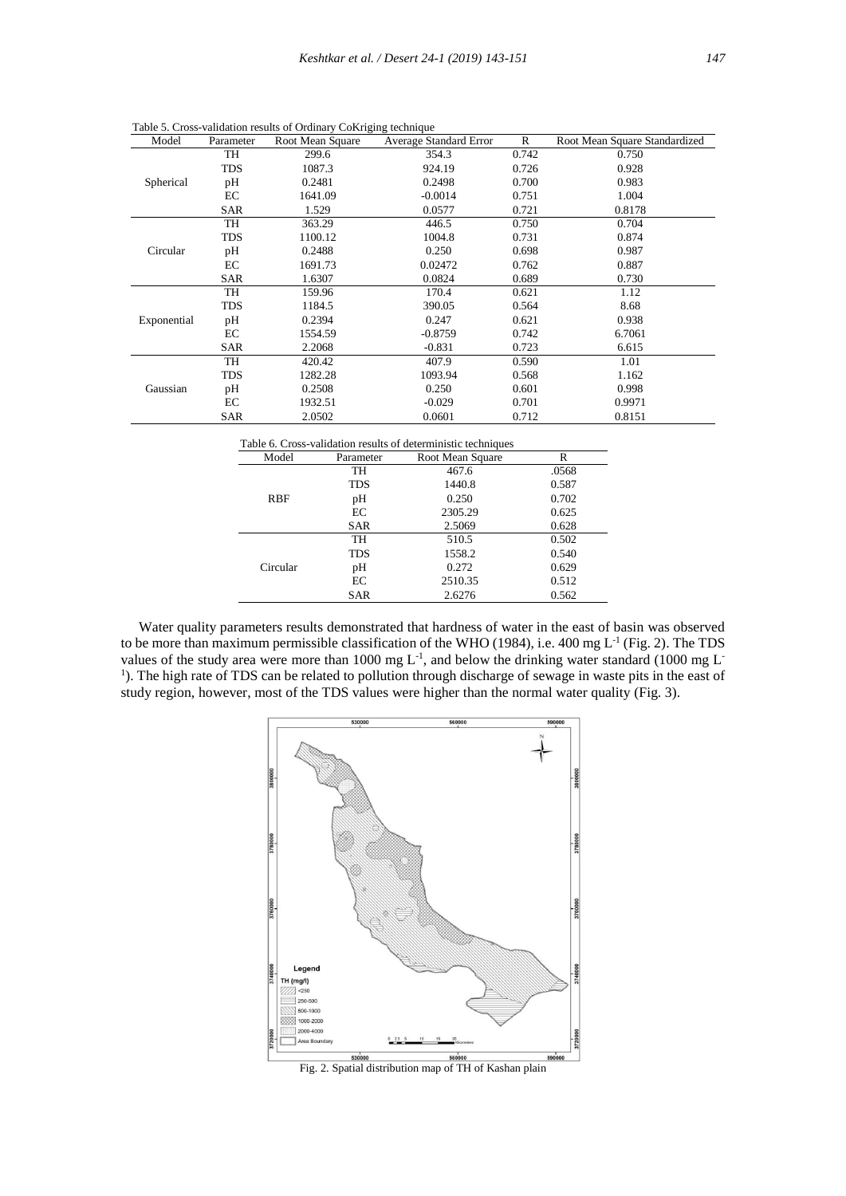| Model       | Parameter  | Root Mean Square | Average Standard Error | $\mathbb{R}$ | Root Mean Square Standardized |
|-------------|------------|------------------|------------------------|--------------|-------------------------------|
|             | TH         | 299.6            | 354.3                  | 0.742        | 0.750                         |
|             | <b>TDS</b> | 1087.3           | 924.19                 | 0.726        | 0.928                         |
| Spherical   | pH         | 0.2481           | 0.2498                 | 0.700        | 0.983                         |
|             | EC         | 1641.09          | $-0.0014$              | 0.751        | 1.004                         |
|             | SAR        | 1.529            | 0.0577                 | 0.721        | 0.8178                        |
|             | TH         | 363.29           | 446.5                  | 0.750        | 0.704                         |
|             | <b>TDS</b> | 1100.12          | 1004.8                 | 0.731        | 0.874                         |
| Circular    | pH         | 0.2488           | 0.250                  | 0.698        | 0.987                         |
|             | EC         | 1691.73          | 0.02472                | 0.762        | 0.887                         |
|             | <b>SAR</b> | 1.6307           | 0.0824                 | 0.689        | 0.730                         |
|             | TH         | 159.96           | 170.4                  | 0.621        | 1.12                          |
|             | TDS        | 1184.5           | 390.05                 | 0.564        | 8.68                          |
| Exponential | pH         | 0.2394           | 0.247                  | 0.621        | 0.938                         |
|             | EC         | 1554.59          | $-0.8759$              | 0.742        | 6.7061                        |
|             | SAR        | 2.2068           | $-0.831$               | 0.723        | 6.615                         |
|             | TH         | 420.42           | 407.9                  | 0.590        | 1.01                          |
|             | <b>TDS</b> | 1282.28          | 1093.94                | 0.568        | 1.162                         |
| Gaussian    | pH         | 0.2508           | 0.250                  | 0.601        | 0.998                         |
|             | EC         | 1932.51          | $-0.029$               | 0.701        | 0.9971                        |
|             | SAR        | 2.0502           | 0.0601                 | 0.712        | 0.8151                        |

Table 5. Cross-validation results of Ordinary CoKriging technique

| Table 6. Cross-validation results of deterministic techniques |            |                  |       |  |
|---------------------------------------------------------------|------------|------------------|-------|--|
| Model                                                         | Parameter  | Root Mean Square | R     |  |
|                                                               | TH         | 467.6            | .0568 |  |
|                                                               | <b>TDS</b> | 1440.8           | 0.587 |  |
| <b>RBF</b>                                                    | pH         | 0.250            | 0.702 |  |
|                                                               | EC         | 2305.29          | 0.625 |  |
|                                                               | <b>SAR</b> | 2.5069           | 0.628 |  |
|                                                               | TH         | 510.5            | 0.502 |  |
|                                                               | <b>TDS</b> | 1558.2           | 0.540 |  |
| Circular                                                      | pH         | 0.272            | 0.629 |  |
|                                                               | EC         | 2510.35          | 0.512 |  |
|                                                               | <b>SAR</b> | 2.6276           | 0.562 |  |

 Water quality parameters results demonstrated that hardness of water in the east of basin was observed to be more than maximum permissible classification of the WHO (1984), i.e. 400 mg  $L<sup>-1</sup>$  (Fig. 2). The TDS values of the study area were more than 1000 mg  $L^{-1}$ , and below the drinking water standard (1000 mg  $L^{-1}$ <sup>1</sup>). The high rate of TDS can be related to pollution through discharge of sewage in waste pits in the east of study region, however, most of the TDS values were higher than the normal water quality (Fig. 3).



Fig. 2. Spatial distribution map of TH of Kashan plain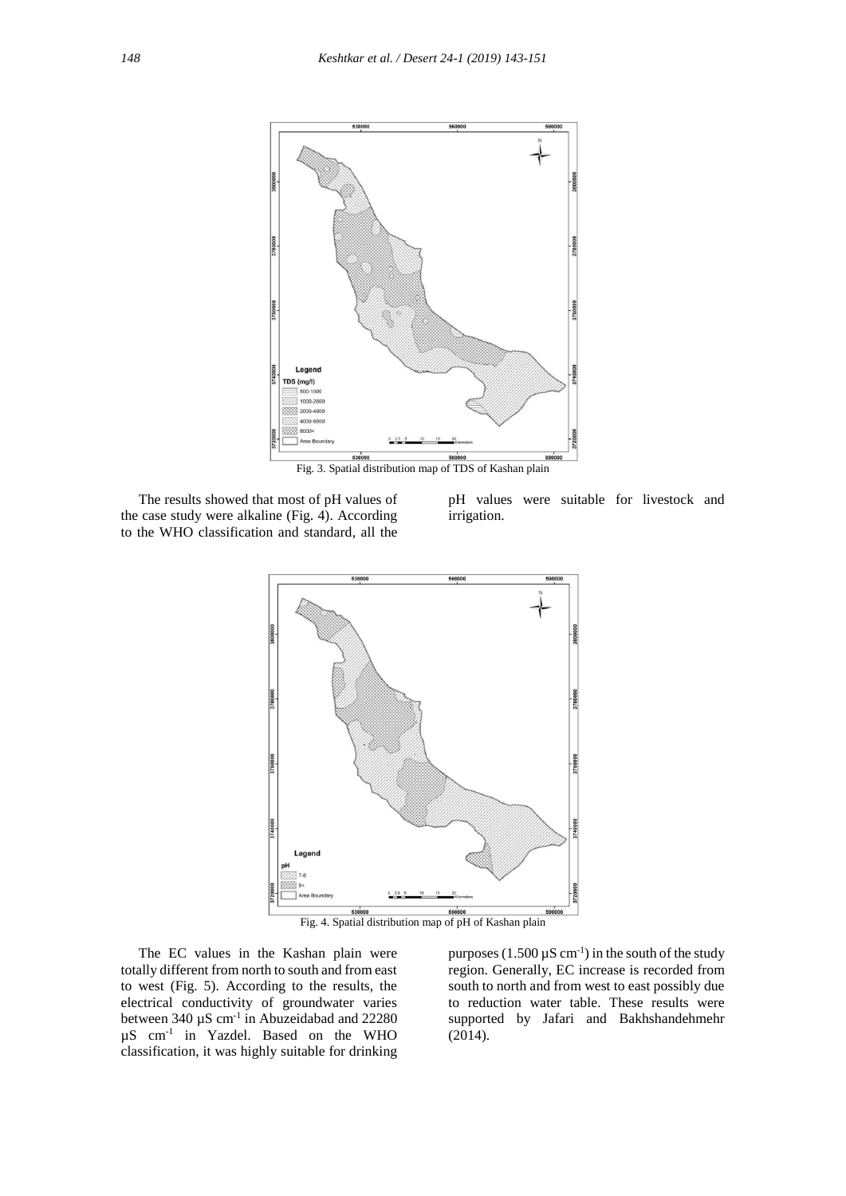

Fig. 3. Spatial distribution map of TDS of Kashan plain

 The results showed that most of pH values of the case study were alkaline (Fig. 4). According to the WHO classification and standard, all the

pH values were suitable for livestock and irrigation.



Fig. 4. Spatial distribution map of pH of Kashan plain

 The EC values in the Kashan plain were totally different from north to south and from east to west (Fig. 5). According to the results, the electrical conductivity of groundwater varies between  $340 \mu S$  cm<sup>-1</sup> in Abuzeidabad and  $22280$ µS cm-1 in Yazdel. Based on the WHO classification, it was highly suitable for drinking

purposes  $(1.500 \,\mu\text{S cm}^{-1})$  in the south of the study region. Generally, EC increase is recorded from south to north and from west to east possibly due to reduction water table. These results were supported by Jafari and Bakhshandehmehr (2014).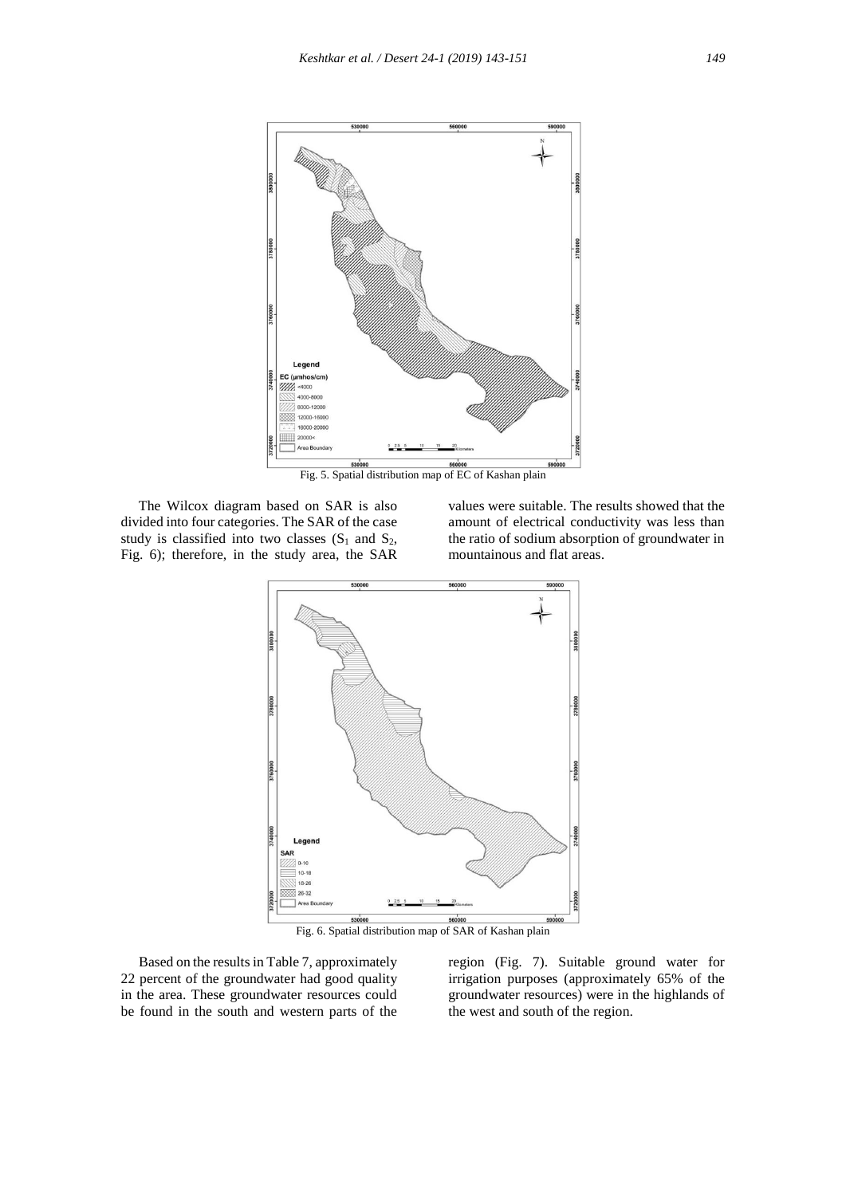

Fig. 5. Spatial distribution map of EC of Kashan plain

 The Wilcox diagram based on SAR is also divided into four categories. The SAR of the case study is classified into two classes  $(S_1 \text{ and } S_2)$ , Fig. 6); therefore, in the study area, the SAR

values were suitable. The results showed that the amount of electrical conductivity was less than the ratio of sodium absorption of groundwater in mountainous and flat areas.



Fig. 6. Spatial distribution map of SAR of Kashan plain

 Based on the results in Table 7, approximately 22 percent of the groundwater had good quality in the area. These groundwater resources could be found in the south and western parts of the region (Fig. 7). Suitable ground water for irrigation purposes (approximately 65% of the groundwater resources) were in the highlands of the west and south of the region.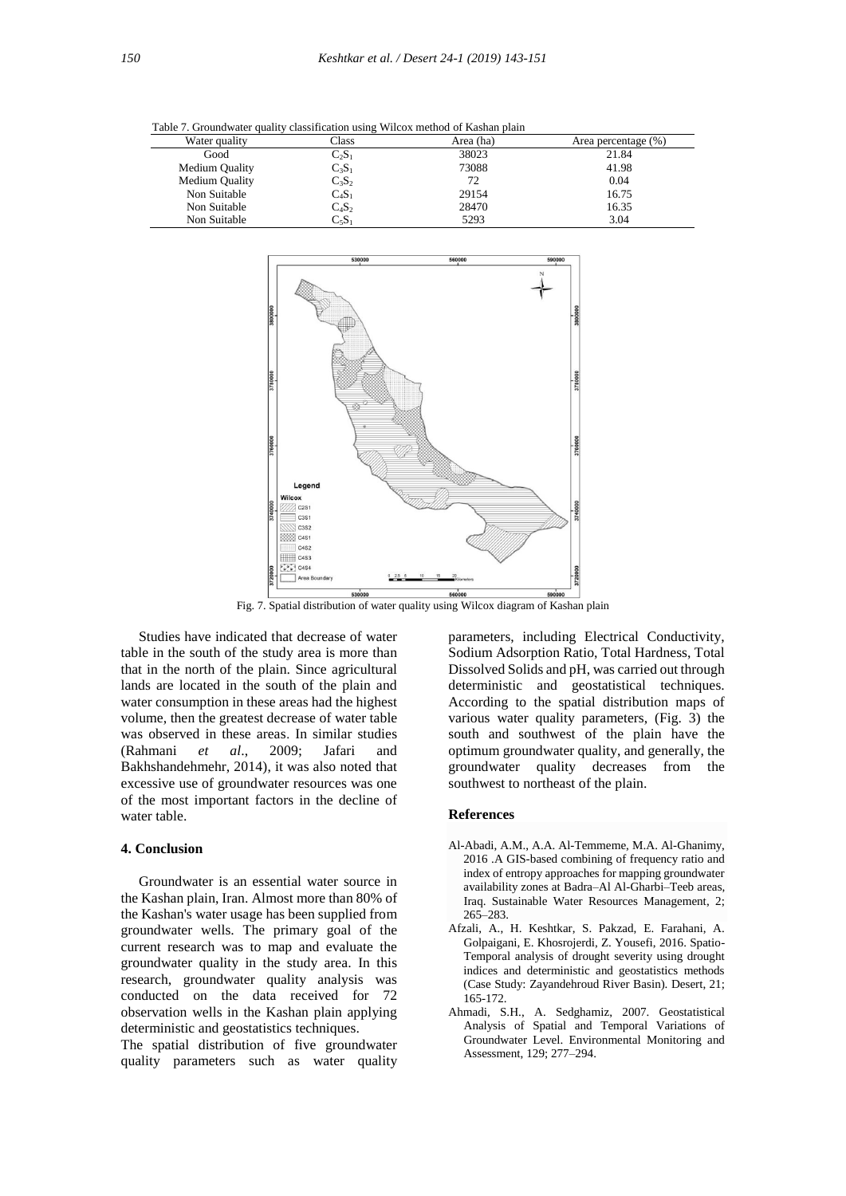| Table 7: Ground water quality chassification using 40 neoA method of Ixashan plain |                            |           |                     |  |  |  |
|------------------------------------------------------------------------------------|----------------------------|-----------|---------------------|--|--|--|
| Water quality                                                                      | Class                      | Area (ha) | Area percentage (%) |  |  |  |
| Good                                                                               | $\mathrm{C}_2\mathrm{S}_1$ | 38023     | 21.84               |  |  |  |
| Medium Quality                                                                     | $\mathrm{C}_3\mathrm{S}_1$ | 73088     | 41.98               |  |  |  |
| Medium Quality                                                                     | $C_3S_2$                   | 72        | 0.04                |  |  |  |
| Non Suitable                                                                       | $\mathrm{C_4S_1}$          | 29154     | 16.75               |  |  |  |
| Non Suitable                                                                       | $C_4S_2$                   | 28470     | 16.35               |  |  |  |
| Non Suitable                                                                       | $\mathrm{C}_5\mathrm{S}_1$ | 5293      | 3.04                |  |  |  |
|                                                                                    |                            |           |                     |  |  |  |

Table 7. Groundwater quality classification using Wilcox method of Kashan plain



Fig. 7. Spatial distribution of water quality using Wilcox diagram of Kashan plain

 Studies have indicated that decrease of water table in the south of the study area is more than that in the north of the plain. Since agricultural lands are located in the south of the plain and water consumption in these areas had the highest volume, then the greatest decrease of water table was observed in these areas. In similar studies (Rahmani *et al*., 2009; Jafari and Bakhshandehmehr, 2014), it was also noted that excessive use of groundwater resources was one of the most important factors in the decline of water table.

# **4. Conclusion**

 Groundwater is an essential water source in the Kashan plain, Iran. Almost more than 80% of the Kashan's water usage has been supplied from groundwater wells. The primary goal of the current research was to map and evaluate the groundwater quality in the study area. In this research, groundwater quality analysis was conducted on the data received for 72 observation wells in the Kashan plain applying deterministic and geostatistics techniques.

The spatial distribution of five groundwater quality parameters such as water quality parameters, including Electrical Conductivity, Sodium Adsorption Ratio, Total Hardness, Total Dissolved Solids and pH, was carried out through deterministic and geostatistical techniques. According to the spatial distribution maps of various water quality parameters, (Fig. 3) the south and southwest of the plain have the optimum groundwater quality, and generally, the groundwater quality decreases from the southwest to northeast of the plain.

# **References**

- Al-Abadi, A.M., A.A. Al-Temmeme, M.A. Al-Ghanimy, 2016 .A GIS-based combining of frequency ratio and index of entropy approaches for mapping groundwater availability zones at Badra–Al Al-Gharbi–Teeb areas, Iraq. Sustainable Water Resources Management, 2; 265–283.
- Afzali, A., H. Keshtkar, S. Pakzad, E. Farahani, A. Golpaigani, E. Khosrojerdi, Z. Yousefi, 2016. Spatio- Temporal analysis of drought severity using drought indices and deterministic and geostatistics methods (Case Study: Zayandehroud River Basin). Desert, 21; 165-172.
- Ahmadi, S.H., A. Sedghamiz, 2007. Geostatistical Analysis of Spatial and Temporal Variations of Groundwater Level. Environmental Monitoring and Assessment, 129; 277–294.